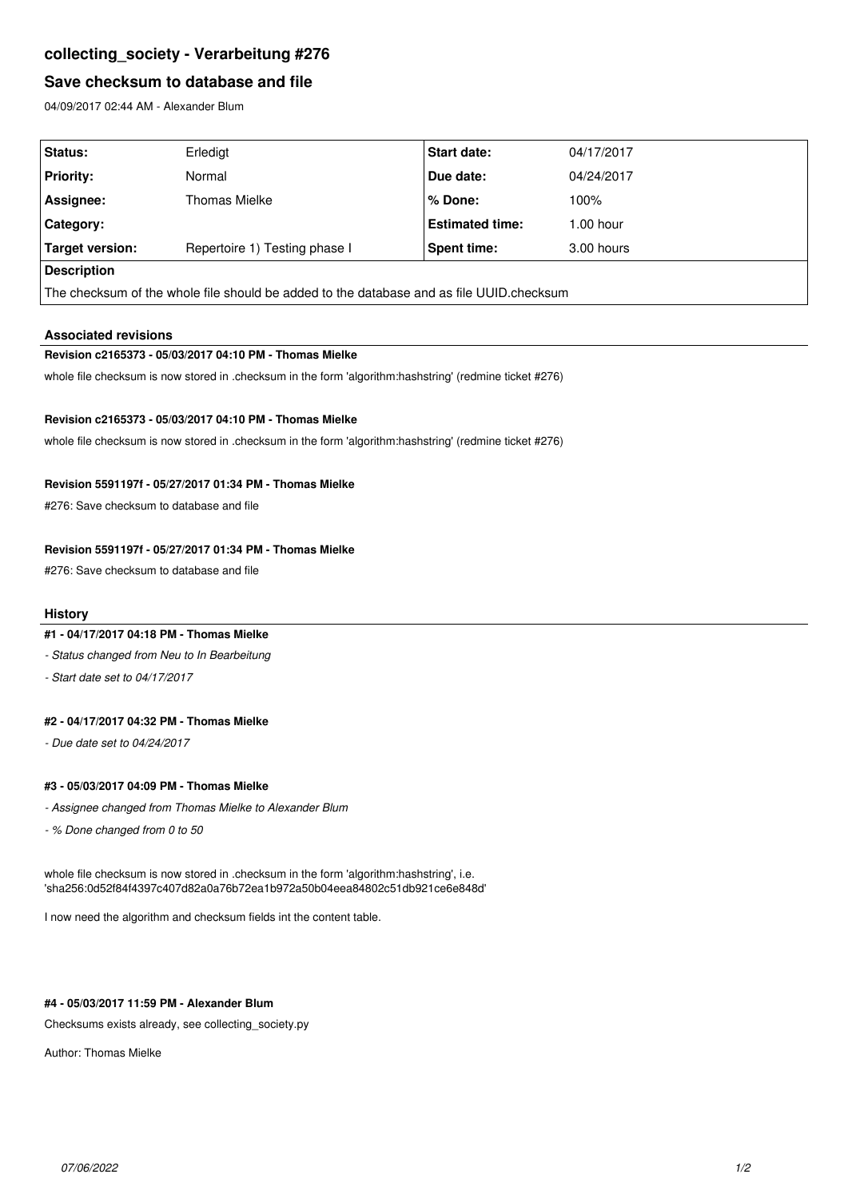# **collecting\_society - Verarbeitung #276**

## **Save checksum to database and file**

04/09/2017 02:44 AM - Alexander Blum

| <b>Status:</b>                                                                           | Erledigt                      | Start date:            | 04/17/2017  |
|------------------------------------------------------------------------------------------|-------------------------------|------------------------|-------------|
| <b>Priority:</b>                                                                         | Normal                        | Due date:              | 04/24/2017  |
| Assignee:                                                                                | Thomas Mielke                 | % Done:                | 100%        |
| Category:                                                                                |                               | <b>Estimated time:</b> | $1.00$ hour |
| Target version:                                                                          | Repertoire 1) Testing phase I | Spent time:            | 3.00 hours  |
| Description                                                                              |                               |                        |             |
| The checksum of the whole file should be added to the database and as file UUID.checksum |                               |                        |             |

#### **Associated revisions**

#### **Revision c2165373 - 05/03/2017 04:10 PM - Thomas Mielke**

whole file checksum is now stored in .checksum in the form 'algorithm:hashstring' (redmine ticket #276)

#### **Revision c2165373 - 05/03/2017 04:10 PM - Thomas Mielke**

whole file checksum is now stored in .checksum in the form 'algorithm:hashstring' (redmine ticket #276)

### **Revision 5591197f - 05/27/2017 01:34 PM - Thomas Mielke**

#276: Save checksum to database and file

## **Revision 5591197f - 05/27/2017 01:34 PM - Thomas Mielke**

#276: Save checksum to database and file

#### **History**

### **#1 - 04/17/2017 04:18 PM - Thomas Mielke**

*- Status changed from Neu to In Bearbeitung*

*- Start date set to 04/17/2017*

## **#2 - 04/17/2017 04:32 PM - Thomas Mielke**

*- Due date set to 04/24/2017*

### **#3 - 05/03/2017 04:09 PM - Thomas Mielke**

- *Assignee changed from Thomas Mielke to Alexander Blum*
- *% Done changed from 0 to 50*

whole file checksum is now stored in .checksum in the form 'algorithm:hashstring', i.e. 'sha256:0d52f84f4397c407d82a0a76b72ea1b972a50b04eea84802c51db921ce6e848d'

I now need the algorithm and checksum fields int the content table.

### **#4 - 05/03/2017 11:59 PM - Alexander Blum**

Checksums exists already, see collecting\_society.py

Author: Thomas Mielke